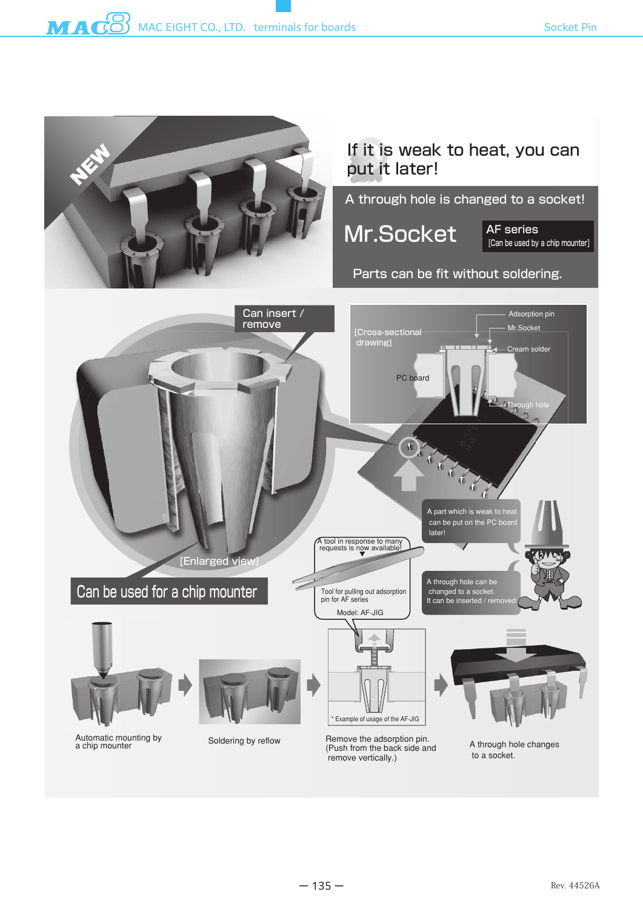